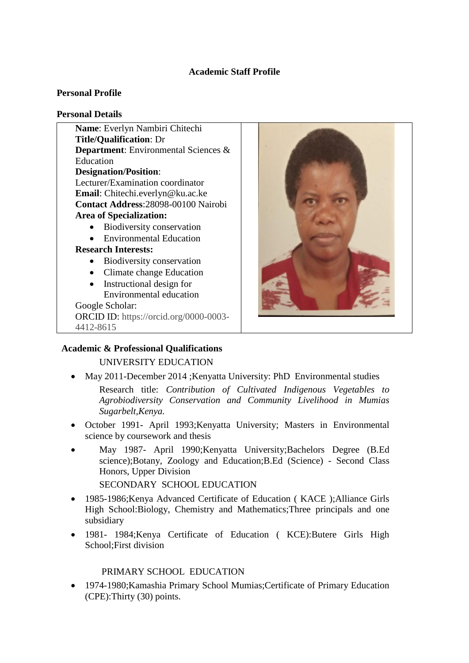# **Academic Staff Profile**

### **Personal Profile**

#### **Personal Details**

**Name**: Everlyn Nambiri Chitechi **Title/Qualification**: Dr **Department**: Environmental Sciences & Education **Designation/Position**: Lecturer/Examination coordinator **Email**: Chitechi.everlyn@ku.ac.ke **Contact Address**:28098-00100 Nairobi **Area of Specialization:** • Biodiversity conservation • Environmental Education **Research Interests:** • Biodiversity conservation • Climate change Education • Instructional design for Environmental education Google Scholar: ORCID ID: https://orcid.org/0000-0003- 4412-8615



### **Academic & Professional Qualifications**

### UNIVERSITY EDUCATION

May 2011-December 2014 ;Kenyatta University: PhD Environmental studies

Research title: *Contribution of Cultivated Indigenous Vegetables to Agrobiodiversity Conservation and Community Livelihood in Mumias Sugarbelt,Kenya.*

- October 1991- April 1993;Kenyatta University; Masters in Environmental science by coursework and thesis
- May 1987- April 1990;Kenyatta University;Bachelors Degree (B.Ed science);Botany, Zoology and Education;B.Ed (Science) - Second Class Honors, Upper Division SECONDARY SCHOOL EDUCATION
- 1985-1986;Kenya Advanced Certificate of Education ( KACE );Alliance Girls High School:Biology, Chemistry and Mathematics;Three principals and one subsidiary
- 1981- 1984;Kenya Certificate of Education ( KCE):Butere Girls High School;First division

#### PRIMARY SCHOOL EDUCATION

 1974-1980;Kamashia Primary School Mumias;Certificate of Primary Education (CPE):Thirty (30) points.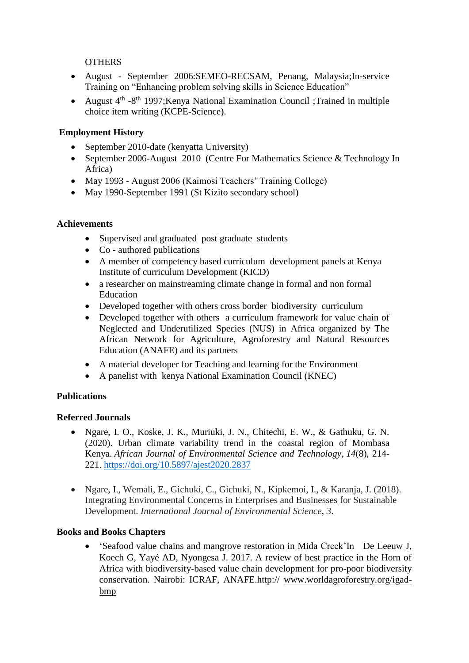## **OTHERS**

- August September 2006:SEMEO-RECSAM, Penang, Malaysia;In-service Training on "Enhancing problem solving skills in Science Education"
- August 4<sup>th</sup> -8<sup>th</sup> 1997; Kenya National Examination Council ; Trained in multiple choice item writing (KCPE-Science).

# **Employment History**

- September 2010-date (kenyatta University)
- September 2006-August 2010 (Centre For Mathematics Science & Technology In Africa)
- May 1993 August 2006 (Kaimosi Teachers' Training College)
- May 1990-September 1991 (St Kizito secondary school)

# **Achievements**

- Supervised and graduated post graduate students
- Co authored publications
- A member of competency based curriculum development panels at Kenya Institute of curriculum Development (KICD)
- a researcher on mainstreaming climate change in formal and non formal Education
- Developed together with others cross border biodiversity curriculum
- Developed together with others a curriculum framework for value chain of Neglected and Underutilized Species (NUS) in Africa organized by The African Network for Agriculture, Agroforestry and Natural Resources Education (ANAFE) and its partners
- A material developer for Teaching and learning for the Environment
- A panelist with kenya National Examination Council (KNEC)

# **Publications**

### **Referred Journals**

- Ngare, I. O., Koske, J. K., Muriuki, J. N., Chitechi, E. W., & Gathuku, G. N. (2020). Urban climate variability trend in the coastal region of Mombasa Kenya. *African Journal of Environmental Science and Technology*, *14*(8), 214- 221. <https://doi.org/10.5897/ajest2020.2837>
- Ngare, I., Wemali, E., Gichuki, C., Gichuki, N., Kipkemoi, I., & Karanja, J. (2018). Integrating Environmental Concerns in Enterprises and Businesses for Sustainable Development. *International Journal of Environmental Science*, *3*.

### **Books and Books Chapters**

 'Seafood value chains and mangrove restoration in Mida Creek'In De Leeuw J, Koech G, Yayé AD, Nyongesa J. 2017. A review of best practice in the Horn of Africa with biodiversity-based value chain development for pro-poor biodiversity conservation. Nairobi: ICRAF, ANAFE.http:// [www.worldagroforestry.org/igad](http://www.worldagroforestry.org/igad-bmp)[bmp](http://www.worldagroforestry.org/igad-bmp)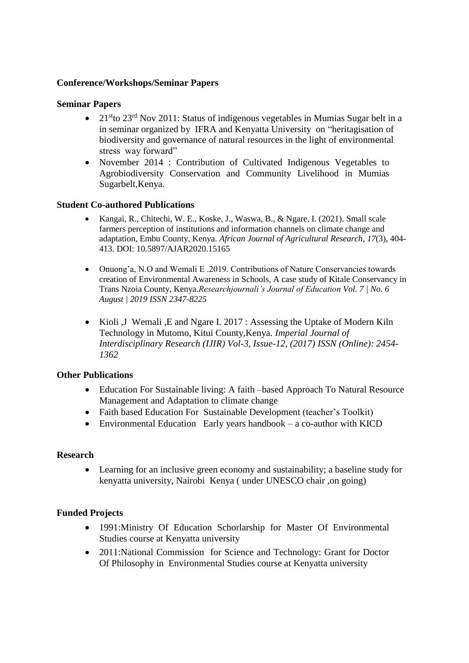#### **Conference/Workshops/Seminar Papers**

#### **Seminar Papers**

- 21<sup>st</sup>to 23<sup>rd</sup> Nov 2011: Status of indigenous vegetables in Mumias Sugar belt in a in seminar organized by IFRA and Kenyatta University on "heritagisation of biodiversity and governance of natural resources in the light of environmental stress way forward"
- November 2014 : Contribution of Cultivated Indigenous Vegetables to Agrobiodiversity Conservation and Community Livelihood in Mumias Sugarbelt,Kenya.

#### **Student Co-authored Publications**

- Kangai, R., Chitechi, W. E., Koske, J., Waswa, B., & Ngare, I. (2021). Small scale farmers perception of institutions and information channels on climate change and adaptation, Embu County, Kenya. *African Journal of Agricultural Research*, *17*(3), 404- 413. DOI: 10.5897/AJAR2020.15165
- Onuong'a, N.O and Wemali E .2019. Contributions of Nature Conservancies towards creation of Environmental Awareness in Schools, A case study of Kitale Conservancy in Trans Nzoia County, Kenya.*Researchjournali's Journal of Education Vol. 7 | No. 6 August | 2019 ISSN 2347-8225*
- Kioli ,J Wemali ,E and Ngare I. 2017 : Assessing the Uptake of Modern Kiln Technology in Mutomo, Kitui County,Kenya. *Imperial Journal of Interdisciplinary Research (IJIR) Vol-3, Issue-12, (2017) ISSN (Online): 2454- 1362*

#### **Other Publications**

- Education For Sustainable living: A faith –based Approach To Natural Resource Management and Adaptation to climate change
- Faith based Education For Sustainable Development (teacher's Toolkit)
- Environmental Education Early years handbook a co-author with KICD

#### **Research**

 Learning for an inclusive green economy and sustainability; a baseline study for kenyatta university, Nairobi Kenya ( under UNESCO chair ,on going)

### **Funded Projects**

- 1991:Ministry Of Education Schorlarship for Master Of Environmental Studies course at Kenyatta university
- 2011: National Commission for Science and Technology: Grant for Doctor Of Philosophy in Environmental Studies course at Kenyatta university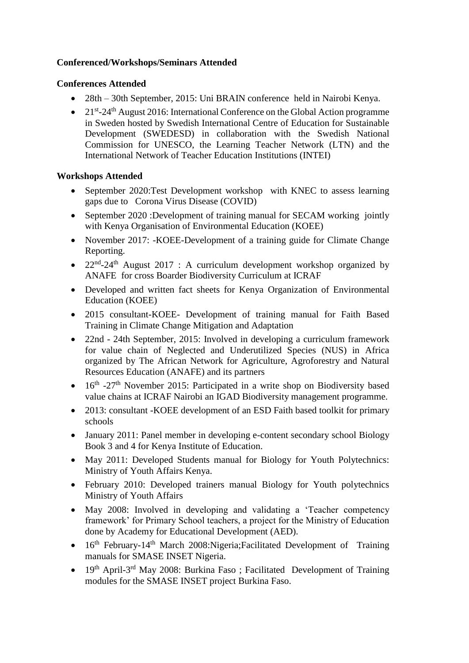# **Conferenced/Workshops/Seminars Attended**

### **Conferences Attended**

- 28th 30th September, 2015: Uni BRAIN conference held in Nairobi Kenya.
- 21<sup>st</sup>-24<sup>th</sup> August 2016: International Conference on the Global Action programme in Sweden hosted by Swedish International Centre of Education for Sustainable Development (SWEDESD) in collaboration with the Swedish National Commission for UNESCO, the Learning Teacher Network (LTN) and the International Network of Teacher Education Institutions (INTEI)

# **Workshops Attended**

- September 2020:Test Development workshop with KNEC to assess learning gaps due to Corona Virus Disease (COVID)
- September 2020 :Development of training manual for SECAM working jointly with Kenya Organisation of Environmental Education (KOEE)
- November 2017: -KOEE-Development of a training guide for Climate Change Reporting.
- $22<sup>nd</sup>-24<sup>th</sup>$  August 2017 : A curriculum development workshop organized by ANAFE for cross Boarder Biodiversity Curriculum at ICRAF
- Developed and written fact sheets for Kenya Organization of Environmental Education (KOEE)
- 2015 consultant-KOEE- Development of training manual for Faith Based Training in Climate Change Mitigation and Adaptation
- 22nd 24th September, 2015: Involved in developing a curriculum framework for value chain of Neglected and Underutilized Species (NUS) in Africa organized by The African Network for Agriculture, Agroforestry and Natural Resources Education (ANAFE) and its partners
- $\bullet$  16<sup>th</sup> -27<sup>th</sup> November 2015: Participated in a write shop on Biodiversity based value chains at ICRAF Nairobi an IGAD Biodiversity management programme.
- 2013: consultant -KOEE development of an ESD Faith based toolkit for primary schools
- January 2011: Panel member in developing e-content secondary school Biology Book 3 and 4 for Kenya Institute of Education.
- May 2011: Developed Students manual for Biology for Youth Polytechnics: Ministry of Youth Affairs Kenya.
- February 2010: Developed trainers manual Biology for Youth polytechnics Ministry of Youth Affairs
- May 2008: Involved in developing and validating a 'Teacher competency framework' for Primary School teachers, a project for the Ministry of Education done by Academy for Educational Development (AED).
- $\bullet$  16<sup>th</sup> February-14<sup>th</sup> March 2008: Nigeria; Facilitated Development of Training manuals for SMASE INSET Nigeria.
- 19<sup>th</sup> April-3<sup>rd</sup> May 2008: Burkina Faso; Facilitated Development of Training modules for the SMASE INSET project Burkina Faso.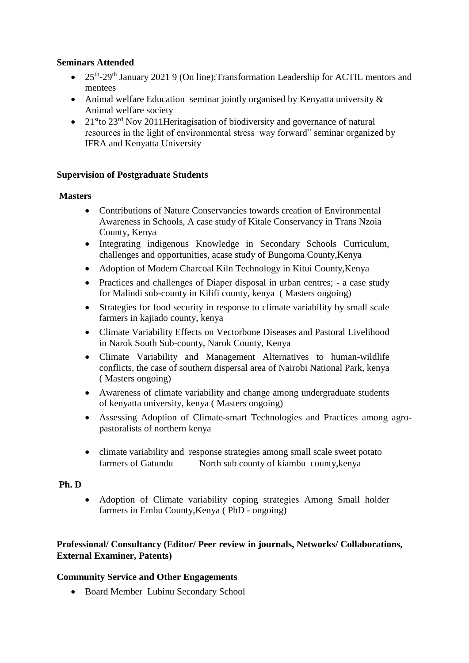## **Seminars Attended**

- 25<sup>th</sup>-29<sup>th</sup> January 2021 9 (On line): Transformation Leadership for ACTIL mentors and mentees
- Animal welfare Education seminar jointly organised by Kenyatta university  $\&$ Animal welfare society
- $21<sup>st</sup>$  20<sup>rd</sup> Nov 2011 Heritagisation of biodiversity and governance of natural resources in the light of environmental stress way forward" seminar organized by IFRA and Kenyatta University

### **Supervision of Postgraduate Students**

#### **Masters**

- Contributions of Nature Conservancies towards creation of Environmental Awareness in Schools, A case study of Kitale Conservancy in Trans Nzoia County, Kenya
- Integrating indigenous Knowledge in Secondary Schools Curriculum, challenges and opportunities, acase study of Bungoma County,Kenya
- Adoption of Modern Charcoal Kiln Technology in Kitui County,Kenya
- Practices and challenges of Diaper disposal in urban centres; a case study for Malindi sub-county in Kilifi county, kenya ( Masters ongoing)
- Strategies for food security in response to climate variability by small scale farmers in kajiado county, kenya
- Climate Variability Effects on Vectorbone Diseases and Pastoral Livelihood in Narok South Sub-county, Narok County, Kenya
- Climate Variability and Management Alternatives to human-wildlife conflicts, the case of southern dispersal area of Nairobi National Park, kenya ( Masters ongoing)
- Awareness of climate variability and change among undergraduate students of kenyatta university, kenya ( Masters ongoing)
- Assessing Adoption of Climate-smart Technologies and Practices among agropastoralists of northern kenya
- climate variability and response strategies among small scale sweet potato farmers of Gatundu North sub county of kiambu county,kenya

### **Ph. D**

 Adoption of Climate variability coping strategies Among Small holder farmers in Embu County,Kenya ( PhD - ongoing)

# **Professional/ Consultancy (Editor/ Peer review in journals, Networks/ Collaborations, External Examiner, Patents)**

### **Community Service and Other Engagements**

Board Member Lubinu Secondary School